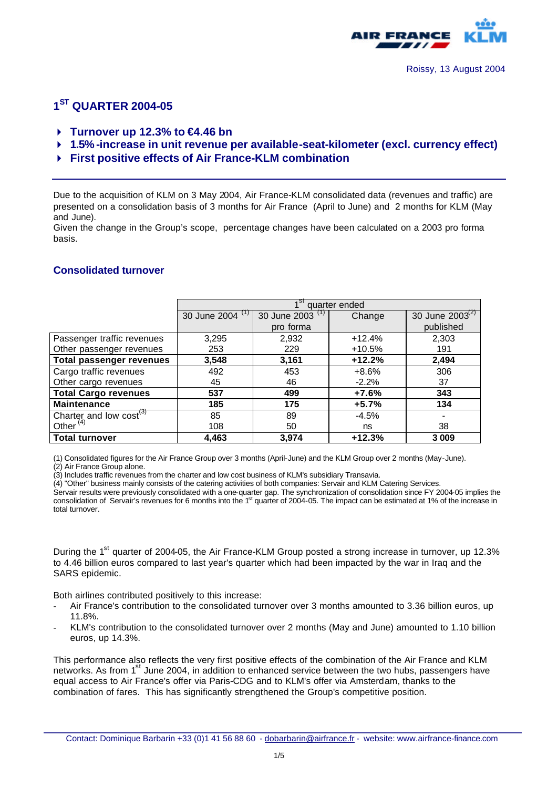

### **1 ST QUARTER 2004-05**

- 4 **Turnover up 12.3% to €4.46 bn**
- 4 **1.5% -increase in unit revenue per available-seat-kilometer (excl. currency effect)**
- 4 **First positive effects of Air France-KLM combination**

Due to the acquisition of KLM on 3 May 2004, Air France-KLM consolidated data (revenues and traffic) are presented on a consolidation basis of 3 months for Air France (April to June) and 2 months for KLM (May and June).

Given the change in the Group's scope, percentage changes have been calculated on a 2003 pro forma basis.

#### **Consolidated turnover**

|                                 | 1 <sup>st</sup> quarter ended |                  |          |                      |
|---------------------------------|-------------------------------|------------------|----------|----------------------|
|                                 | 30 June 2004 (1)              | 30 June 2003 (1) | Change   | 30 June $2003^{(2)}$ |
|                                 |                               | pro forma        |          | published            |
| Passenger traffic revenues      | 3,295                         | 2,932            | $+12.4%$ | 2,303                |
| Other passenger revenues        | 253                           | 229              | $+10.5%$ | 191                  |
| <b>Total passenger revenues</b> | 3,548                         | 3,161            | $+12.2%$ | 2,494                |
| Cargo traffic revenues          | 492                           | 453              | $+8.6%$  | 306                  |
| Other cargo revenues            | 45                            | 46               | $-2.2%$  | 37                   |
| <b>Total Cargo revenues</b>     | 537                           | 499              | $+7.6%$  | 343                  |
| <b>Maintenance</b>              | 185                           | 175              | $+5.7%$  | 134                  |
| Charter and low $cost^{(3)}$    | 85                            | 89               | $-4.5%$  |                      |
| Other $(4)$                     | 108                           | 50               | ns       | 38                   |
| <b>Total turnover</b>           | 4.463                         | 3.974            | $+12.3%$ | 3 0 0 9              |

(1) Consolidated figures for the Air France Group over 3 months (April-June) and the KLM Group over 2 months (May-June). (2) Air France Group alone.

(3) Includes traffic revenues from the charter and low cost business of KLM's subsidiary Transavia.

(4) "Other" business mainly consists of the catering activities of both companies: Servair and KLM Catering Services.

Servair results were previously consolidated with a one-quarter gap. The synchronization of consolidation since FY 2004-05 implies the consolidation of Servair's revenues for 6 months into the 1<sup>st</sup> quarter of 2004-05. The impact can be estimated at 1% of the increase in total turnover.

During the 1<sup>st</sup> quarter of 2004-05, the Air France-KLM Group posted a strong increase in turnover, up 12.3% to 4.46 billion euros compared to last year's quarter which had been impacted by the war in Iraq and the SARS epidemic.

Both airlines contributed positively to this increase:

- Air France's contribution to the consolidated turnover over 3 months amounted to 3.36 billion euros, up 11.8%.
- KLM's contribution to the consolidated turnover over 2 months (May and June) amounted to 1.10 billion euros, up 14.3%.

This performance also reflects the very first positive effects of the combination of the Air France and KLM networks. As from 1<sup>st</sup> June 2004, in addition to enhanced service between the two hubs, passengers have equal access to Air France's offer via Paris-CDG and to KLM's offer via Amsterdam, thanks to the combination of fares. This has significantly strengthened the Group's competitive position.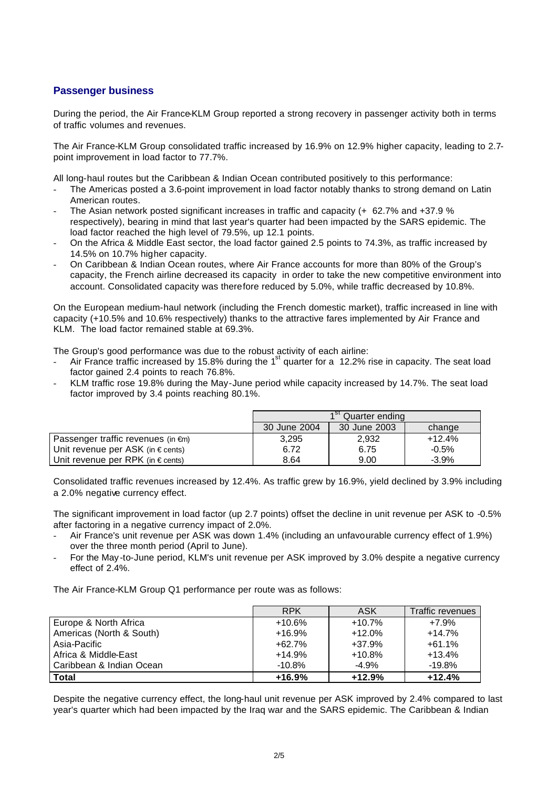#### **Passenger business**

During the period, the Air France-KLM Group reported a strong recovery in passenger activity both in terms of traffic volumes and revenues.

The Air France-KLM Group consolidated traffic increased by 16.9% on 12.9% higher capacity, leading to 2.7 point improvement in load factor to 77.7%.

All long-haul routes but the Caribbean & Indian Ocean contributed positively to this performance:

- The Americas posted a 3.6-point improvement in load factor notably thanks to strong demand on Latin American routes.
- The Asian network posted significant increases in traffic and capacity (+ 62.7% and +37.9 % respectively), bearing in mind that last year's quarter had been impacted by the SARS epidemic. The load factor reached the high level of 79.5%, up 12.1 points.
- On the Africa & Middle East sector, the load factor gained 2.5 points to 74.3%, as traffic increased by 14.5% on 10.7% higher capacity.
- On Caribbean & Indian Ocean routes, where Air France accounts for more than 80% of the Group's capacity, the French airline decreased its capacity in order to take the new competitive environment into account. Consolidated capacity was therefore reduced by 5.0%, while traffic decreased by 10.8%.

On the European medium-haul network (including the French domestic market), traffic increased in line with capacity (+10.5% and 10.6% respectively) thanks to the attractive fares implemented by Air France and KLM. The load factor remained stable at 69.3%.

The Group's good performance was due to the robust activity of each airline:

- Air France traffic increased by 15.8% during the 1<sup>st</sup> quarter for a 12.2% rise in capacity. The seat load factor gained 2.4 points to reach 76.8%.
- KLM traffic rose 19.8% during the May-June period while capacity increased by 14.7%. The seat load factor improved by 3.4 points reaching 80.1%.

|                                              | 1 <sup>st</sup> Quarter ending |              |          |
|----------------------------------------------|--------------------------------|--------------|----------|
|                                              | 30 June 2004                   | 30 June 2003 | change   |
| Passenger traffic revenues (in $\epsilon$ m) | 3.295                          | 2,932        | $+12.4%$ |
| Unit revenue per ASK (in $\epsilon$ cents)   | 6.72                           | 6.75         | $-0.5%$  |
| Unit revenue per RPK (in $\epsilon$ cents)   | 8.64                           | 9.00         | -3.9%    |

Consolidated traffic revenues increased by 12.4%. As traffic grew by 16.9%, yield declined by 3.9% including a 2.0% negative currency effect.

The significant improvement in load factor (up 2.7 points) offset the decline in unit revenue per ASK to -0.5% after factoring in a negative currency impact of 2.0%.

- Air France's unit revenue per ASK was down 1.4% (including an unfavourable currency effect of 1.9%) over the three month period (April to June).
- For the May -to-June period, KLM's unit revenue per ASK improved by 3.0% despite a negative currency effect of 2.4%.

The Air France-KLM Group Q1 performance per route was as follows:

|                          | <b>RPK</b> | ASK      | Traffic revenues |
|--------------------------|------------|----------|------------------|
| Europe & North Africa    | $+10.6%$   | $+10.7%$ | $+7.9%$          |
| Americas (North & South) | $+16.9%$   | $+12.0%$ | $+14.7%$         |
| Asia-Pacific             | $+62.7%$   | $+37.9%$ | $+61.1%$         |
| Africa & Middle-East     | $+14.9%$   | $+10.8%$ | $+13.4%$         |
| Caribbean & Indian Ocean | $-10.8\%$  | $-4.9%$  | $-19.8%$         |
| <b>Total</b>             | $+16.9%$   | $+12.9%$ | $+12.4%$         |

Despite the negative currency effect, the long-haul unit revenue per ASK improved by 2.4% compared to last year's quarter which had been impacted by the Iraq war and the SARS epidemic. The Caribbean & Indian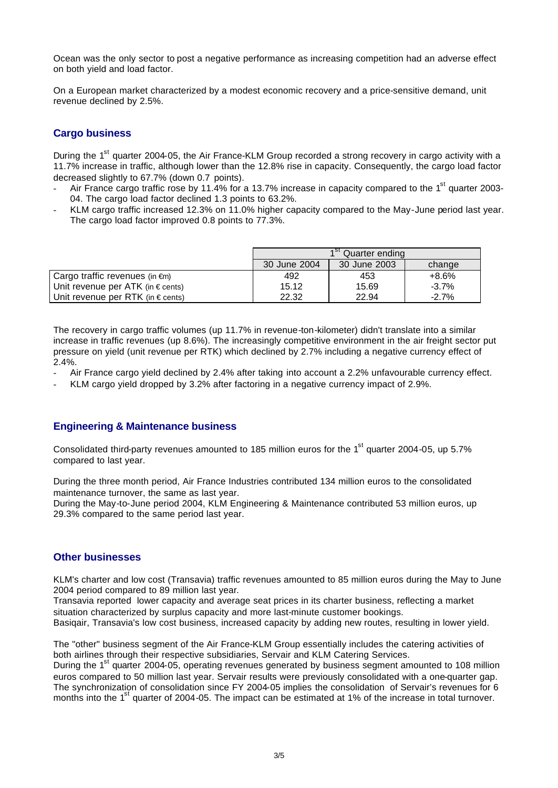Ocean was the only sector to post a negative performance as increasing competition had an adverse effect on both yield and load factor.

On a European market characterized by a modest economic recovery and a price-sensitive demand, unit revenue declined by 2.5%.

### **Cargo business**

During the 1<sup>st</sup> quarter 2004-05, the Air France-KLM Group recorded a strong recovery in cargo activity with a 11.7% increase in traffic, although lower than the 12.8% rise in capacity. Consequently, the cargo load factor decreased slightly to 67.7% (down 0.7 points).

- Air France cargo traffic rose by 11.4% for a 13.7% increase in capacity compared to the 1<sup>st</sup> quarter 2003-04. The cargo load factor declined 1.3 points to 63.2%.
- KLM cargo traffic increased 12.3% on 11.0% higher capacity compared to the May-June period last year. The cargo load factor improved 0.8 points to 77.3%.

|                                            | 1 <sup>st</sup> Quarter ending |              |          |
|--------------------------------------------|--------------------------------|--------------|----------|
|                                            | 30 June 2004                   | 30 June 2003 | change   |
| Cargo traffic revenues (in $\epsilon$ m)   | 492                            | 453          | +8.6%    |
| Unit revenue per ATK (in $\epsilon$ cents) | 15.12                          | 15.69        | $-3.7\%$ |
| Unit revenue per RTK (in $\epsilon$ cents) | 22.32                          | 22.94        | $-2.7\%$ |

The recovery in cargo traffic volumes (up 11.7% in revenue-ton-kilometer) didn't translate into a similar increase in traffic revenues (up 8.6%). The increasingly competitive environment in the air freight sector put pressure on yield (unit revenue per RTK) which declined by 2.7% including a negative currency effect of 2.4%.

- Air France cargo yield declined by 2.4% after taking into account a 2.2% unfavourable currency effect.
- KLM cargo yield dropped by 3.2% after factoring in a negative currency impact of 2.9%.

#### **Engineering & Maintenance business**

Consolidated third-party revenues amounted to 185 million euros for the 1<sup>st</sup> quarter 2004-05, up 5.7% compared to last year.

During the three month period, Air France Industries contributed 134 million euros to the consolidated maintenance turnover, the same as last year.

During the May-to-June period 2004, KLM Engineering & Maintenance contributed 53 million euros, up 29.3% compared to the same period last year.

#### **Other businesses**

KLM's charter and low cost (Transavia) traffic revenues amounted to 85 million euros during the May to June 2004 period compared to 89 million last year.

Transavia reported lower capacity and average seat prices in its charter business, reflecting a market situation characterized by surplus capacity and more last-minute customer bookings. Basiqair, Transavia's low cost business, increased capacity by adding new routes, resulting in lower yield.

The "other" business segment of the Air France-KLM Group essentially includes the catering activities of both airlines through their respective subsidiaries, Servair and KLM Catering Services.

During the 1<sup>st</sup> quarter 2004-05, operating revenues generated by business segment amounted to 108 million euros compared to 50 million last year. Servair results were previously consolidated with a one-quarter gap. The synchronization of consolidation since FY 2004-05 implies the consolidation of Servair's revenues for 6 months into the 1<sup>st</sup> quarter of 2004-05. The impact can be estimated at 1% of the increase in total turnover.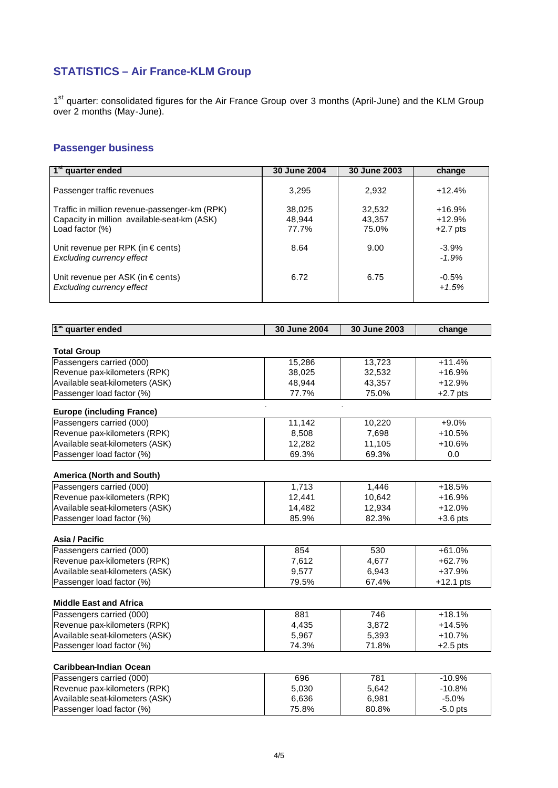# **STATISTICS – Air France-KLM Group**

1<sup>st</sup> quarter: consolidated figures for the Air France Group over 3 months (April-June) and the KLM Group over 2 months (May-June).

# **Passenger business**

| 1 <sup>st</sup> quarter ended                                                                | 30 June 2004 | 30 June 2003     | change      |
|----------------------------------------------------------------------------------------------|--------------|------------------|-------------|
|                                                                                              |              |                  |             |
| Passenger traffic revenues                                                                   | 3,295        | 2,932            | $+12.4%$    |
|                                                                                              | 38,025       |                  | $+16.9%$    |
| Traffic in million revenue-passenger-km (RPK)<br>Capacity in million available-seat-km (ASK) | 48,944       | 32,532<br>43,357 | $+12.9%$    |
| Load factor (%)                                                                              | 77.7%        | 75.0%            | $+2.7$ pts  |
|                                                                                              |              |                  |             |
| Unit revenue per RPK (in € cents)                                                            | 8.64         | 9.00             | $-3.9%$     |
| <b>Excluding currency effect</b>                                                             |              |                  | $-1.9%$     |
|                                                                                              |              |                  |             |
| Unit revenue per ASK (in € cents)                                                            | 6.72         | 6.75             | $-0.5%$     |
| <b>Excluding currency effect</b>                                                             |              |                  | $+1.5%$     |
|                                                                                              |              |                  |             |
|                                                                                              |              |                  |             |
| 1 <sup>st</sup> quarter ended                                                                | 30 June 2004 | 30 June 2003     | change      |
|                                                                                              |              |                  |             |
| <b>Total Group</b>                                                                           |              |                  |             |
| Passengers carried (000)                                                                     | 15,286       | 13,723           | $+11.4%$    |
| Revenue pax-kilometers (RPK)                                                                 | 38,025       | 32,532           | +16.9%      |
| Available seat-kilometers (ASK)                                                              | 48,944       | 43,357           | $+12.9%$    |
| Passenger load factor (%)                                                                    | 77.7%        | 75.0%            | $+2.7$ pts  |
|                                                                                              |              |                  |             |
| <b>Europe (including France)</b>                                                             |              |                  |             |
| Passengers carried (000)                                                                     | 11,142       | 10,220           | $+9.0%$     |
| Revenue pax-kilometers (RPK)                                                                 | 8,508        | 7,698            | $+10.5%$    |
| Available seat-kilometers (ASK)                                                              | 12,282       | 11,105           | +10.6%      |
| Passenger load factor (%)                                                                    | 69.3%        | 69.3%            | 0.0         |
| <b>America (North and South)</b>                                                             |              |                  |             |
| Passengers carried (000)                                                                     | 1,713        | 1,446            | $+18.5%$    |
| Revenue pax-kilometers (RPK)                                                                 | 12,441       | 10,642           | +16.9%      |
| Available seat-kilometers (ASK)                                                              | 14,482       | 12,934           | $+12.0%$    |
| Passenger load factor (%)                                                                    | 85.9%        | 82.3%            | $+3.6$ pts  |
|                                                                                              |              |                  |             |
| Asia / Pacific                                                                               |              |                  |             |
| Passengers carried (000)                                                                     | 854          | 530              | $+61.0%$    |
| Revenue pax-kilometers (RPK)                                                                 | 7,612        | 4,677            | $+62.7%$    |
| Available seat-kilometers (ASK)                                                              | 9,577        | 6,943            | +37.9%      |
| Passenger load factor (%)                                                                    | 79.5%        | 67.4%            | $+12.1$ pts |
|                                                                                              |              |                  |             |
| <b>Middle East and Africa</b>                                                                |              |                  |             |
| Passengers carried (000)                                                                     | 881          | 746              | $+18.1%$    |
| Revenue pax-kilometers (RPK)                                                                 | 4,435        | 3,872            | $+14.5%$    |
| Available seat-kilometers (ASK)                                                              | 5,967        | 5,393            | $+10.7%$    |
| Passenger load factor (%)                                                                    | 74.3%        | 71.8%            | $+2.5$ pts  |
|                                                                                              |              |                  |             |
| Caribbean-Indian Ocean                                                                       |              |                  |             |
| Passengers carried (000)                                                                     | 696          | 781              | $-10.9%$    |
| Revenue pax-kilometers (RPK)                                                                 | 5,030        | 5,642            | $-10.8%$    |
| Available seat-kilometers (ASK)                                                              | 6,636        | 6,981            | $-5.0%$     |
| Passenger load factor (%)                                                                    | 75.8%        | 80.8%            | $-5.0$ pts  |